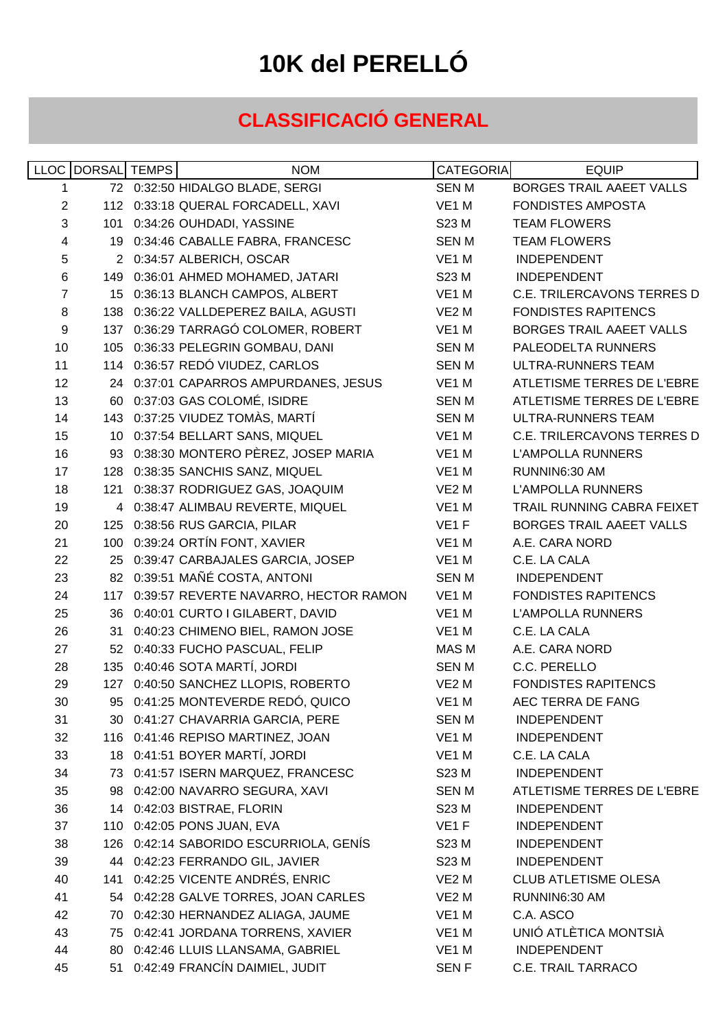## **10K del PERELLÓ**

## **CLASSIFICACIÓ GENERAL**

|    | LLOC DORSAL TEMPS | <b>NOM</b>                                | <b>CATEGORIA</b>  | <b>EQUIP</b>                      |
|----|-------------------|-------------------------------------------|-------------------|-----------------------------------|
| 1  |                   | 72 0:32:50 HIDALGO BLADE, SERGI           | <b>SENM</b>       | <b>BORGES TRAIL AAEET VALLS</b>   |
| 2  |                   | 112 0:33:18 QUERAL FORCADELL, XAVI        | VE1 M             | <b>FONDISTES AMPOSTA</b>          |
| 3  |                   | 101 0:34:26 OUHDADI, YASSINE              | S23 M             | <b>TEAM FLOWERS</b>               |
| 4  |                   | 19 0:34:46 CABALLE FABRA, FRANCESC        | SEN M             | <b>TEAM FLOWERS</b>               |
| 5  |                   | 2 0:34:57 ALBERICH, OSCAR                 | VE1 M             | <b>INDEPENDENT</b>                |
| 6  |                   | 149 0:36:01 AHMED MOHAMED, JATARI         | S23 M             | <b>INDEPENDENT</b>                |
| 7  |                   | 15 0:36:13 BLANCH CAMPOS, ALBERT          | VE <sub>1</sub> M | <b>C.E. TRILERCAVONS TERRES D</b> |
| 8  |                   | 138 0:36:22 VALLDEPEREZ BAILA, AGUSTI     | VE2 M             | <b>FONDISTES RAPITENCS</b>        |
| 9  |                   | 137 0:36:29 TARRAGÓ COLOMER, ROBERT       | VE1 M             | <b>BORGES TRAIL AAEET VALLS</b>   |
| 10 |                   | 105 0:36:33 PELEGRIN GOMBAU, DANI         | <b>SENM</b>       | PALEODELTA RUNNERS                |
| 11 |                   | 114 0:36:57 REDÓ VIUDEZ, CARLOS           | <b>SENM</b>       | ULTRA-RUNNERS TEAM                |
| 12 |                   | 24 0:37:01 CAPARROS AMPURDANES, JESUS     | VE1 M             | ATLETISME TERRES DE L'EBRE        |
| 13 |                   | 60 0:37:03 GAS COLOMÉ, ISIDRE             | SEN M             | ATLETISME TERRES DE L'EBRE        |
| 14 |                   | 143 0:37:25 VIUDEZ TOMÀS, MARTÍ           | <b>SENM</b>       | ULTRA-RUNNERS TEAM                |
| 15 |                   | 10 0:37:54 BELLART SANS, MIQUEL           | VE1 M             | <b>C.E. TRILERCAVONS TERRES D</b> |
| 16 |                   | 93 0:38:30 MONTERO PÈREZ, JOSEP MARIA     | VE1 M             | <b>L'AMPOLLA RUNNERS</b>          |
| 17 |                   | 128 0:38:35 SANCHIS SANZ, MIQUEL          | VE1 M             | RUNNIN6:30 AM                     |
| 18 |                   | 121 0:38:37 RODRIGUEZ GAS, JOAQUIM        | VE <sub>2</sub> M | <b>L'AMPOLLA RUNNERS</b>          |
| 19 |                   | 4 0:38:47 ALIMBAU REVERTE, MIQUEL         | VE1 M             | TRAIL RUNNING CABRA FEIXET        |
| 20 |                   | 125 0:38:56 RUS GARCIA, PILAR             | VE <sub>1</sub> F | BORGES TRAIL AAEET VALLS          |
| 21 |                   | 100 0:39:24 ORTÍN FONT, XAVIER            | VE1 M             | A.E. CARA NORD                    |
| 22 |                   | 25 0:39:47 CARBAJALES GARCIA, JOSEP       | VE1 M             | C.E. LA CALA                      |
| 23 |                   | 82 0:39:51 MAÑÉ COSTA, ANTONI             | <b>SENM</b>       | <b>INDEPENDENT</b>                |
| 24 |                   | 117 0:39:57 REVERTE NAVARRO, HECTOR RAMON | VE1 M             | <b>FONDISTES RAPITENCS</b>        |
| 25 |                   | 36 0:40:01 CURTO I GILABERT, DAVID        | VE1 M             | <b>L'AMPOLLA RUNNERS</b>          |
| 26 |                   | 31 0:40:23 CHIMENO BIEL, RAMON JOSE       | VE1 M             | C.E. LA CALA                      |
| 27 |                   | 52 0:40:33 FUCHO PASCUAL, FELIP           | MAS M             | A.E. CARA NORD                    |
| 28 |                   | 135 0:40:46 SOTA MARTÍ, JORDI             | SEN M             | C.C. PERELLO                      |
| 29 |                   | 127 0:40:50 SANCHEZ LLOPIS, ROBERTO       | VE <sub>2</sub> M | <b>FONDISTES RAPITENCS</b>        |
| 30 |                   | 95 0:41:25 MONTEVERDE REDÓ, QUICO         | VE1 M             | AEC TERRA DE FANG                 |
| 31 |                   | 30 0:41:27 CHAVARRIA GARCIA, PERE         | <b>SENM</b>       | <b>INDEPENDENT</b>                |
| 32 |                   | 116 0:41:46 REPISO MARTINEZ, JOAN         | VE1 M             | <b>INDEPENDENT</b>                |
| 33 |                   | 18 0:41:51 BOYER MARTÍ, JORDI             | VE1 M             | C.E. LA CALA                      |
| 34 |                   | 73 0:41:57 ISERN MARQUEZ, FRANCESC        | S23 M             | <b>INDEPENDENT</b>                |
| 35 |                   | 98 0:42:00 NAVARRO SEGURA, XAVI           | <b>SENM</b>       | ATLETISME TERRES DE L'EBRE        |
| 36 |                   | 14 0:42:03 BISTRAE, FLORIN                | S23 M             | <b>INDEPENDENT</b>                |
| 37 |                   | 110 0:42:05 PONS JUAN, EVA                | VE <sub>1</sub> F | <b>INDEPENDENT</b>                |
| 38 |                   | 126 0:42:14 SABORIDO ESCURRIOLA, GENÍS    | S23 M             | <b>INDEPENDENT</b>                |
| 39 |                   | 44 0:42:23 FERRANDO GIL, JAVIER           | S23 M             | <b>INDEPENDENT</b>                |
| 40 |                   | 141 0:42:25 VICENTE ANDRÉS, ENRIC         | VE <sub>2</sub> M | <b>CLUB ATLETISME OLESA</b>       |
| 41 |                   | 54 0:42:28 GALVE TORRES, JOAN CARLES      | VE <sub>2</sub> M | RUNNIN6:30 AM                     |
| 42 |                   | 70 0:42:30 HERNANDEZ ALIAGA, JAUME        | VE1 M             | C.A. ASCO                         |
| 43 |                   | 75 0:42:41 JORDANA TORRENS, XAVIER        | VE1 M             | UNIÓ ATLÈTICA MONTSIÀ             |
| 44 |                   | 80 0:42:46 LLUIS LLANSAMA, GABRIEL        | VE <sub>1</sub> M | <b>INDEPENDENT</b>                |
| 45 |                   | 51 0:42:49 FRANCÍN DAIMIEL, JUDIT         | <b>SENF</b>       | C.E. TRAIL TARRACO                |
|    |                   |                                           |                   |                                   |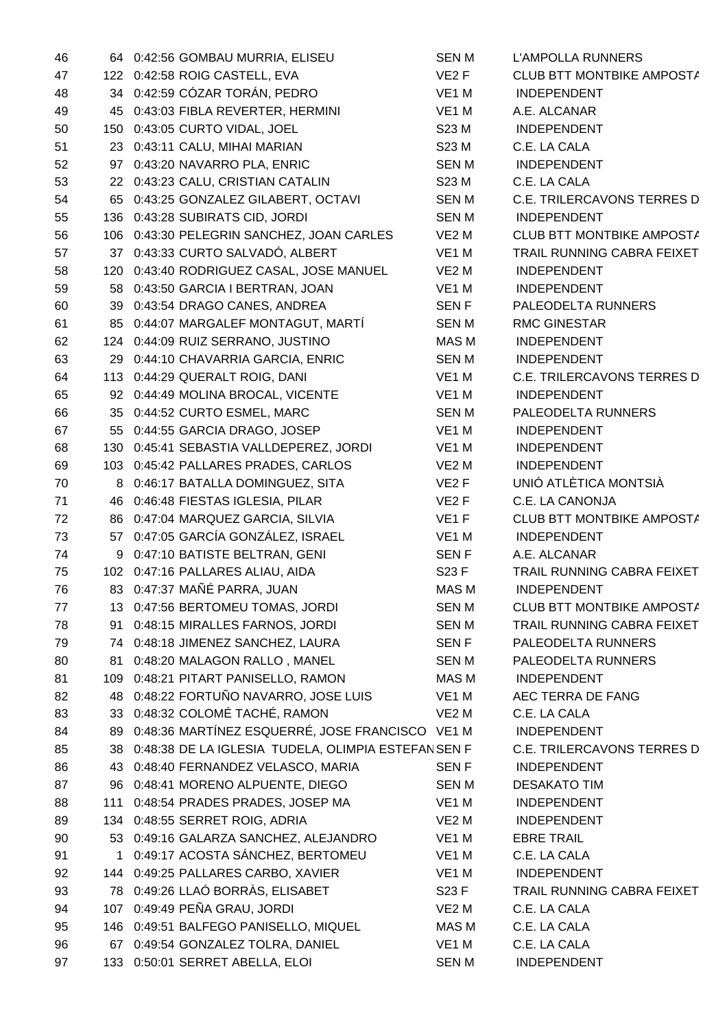| 46 |    | 64 0:42:56 GOMBAU MURRIA, ELISEU                   | <b>SENM</b>       | <b>L'AMPOLLA RUNNERS</b>          |
|----|----|----------------------------------------------------|-------------------|-----------------------------------|
| 47 |    | 122 0:42:58 ROIG CASTELL, EVA                      | VE <sub>2</sub> F | CLUB BTT MONTBIKE AMPOSTA         |
| 48 |    | 34 0:42:59 CÓZAR TORÁN, PEDRO                      | VE1 M             | <b>INDEPENDENT</b>                |
| 49 |    | 45 0:43:03 FIBLA REVERTER, HERMINI                 | VE1 M             | A.E. ALCANAR                      |
| 50 |    | 150 0:43:05 CURTO VIDAL, JOEL                      | S23 M             | <b>INDEPENDENT</b>                |
| 51 |    | 23 0:43:11 CALU, MIHAI MARIAN                      | S23 M             | C.E. LA CALA                      |
| 52 |    | 97 0:43:20 NAVARRO PLA, ENRIC                      | <b>SENM</b>       | <b>INDEPENDENT</b>                |
| 53 |    | 22 0:43:23 CALU, CRISTIAN CATALIN                  | S23 M             | C.E. LA CALA                      |
| 54 |    | 65 0:43:25 GONZALEZ GILABERT, OCTAVI               | <b>SENM</b>       | <b>C.E. TRILERCAVONS TERRES D</b> |
| 55 |    | 136 0:43:28 SUBIRATS CID, JORDI                    | <b>SENM</b>       | <b>INDEPENDENT</b>                |
| 56 |    | 106 0:43:30 PELEGRIN SANCHEZ, JOAN CARLES          | VE <sub>2</sub> M | CLUB BTT MONTBIKE AMPOSTA         |
| 57 |    | 37 0:43:33 CURTO SALVADÓ, ALBERT                   | VE1 M             | TRAIL RUNNING CABRA FEIXET        |
| 58 |    | 120 0:43:40 RODRIGUEZ CASAL, JOSE MANUEL           | VE2 M             | <b>INDEPENDENT</b>                |
| 59 |    | 58 0:43:50 GARCIA I BERTRAN, JOAN                  | VE1 M             | <b>INDEPENDENT</b>                |
| 60 |    | 39 0:43:54 DRAGO CANES, ANDREA                     | SEN F             | PALEODELTA RUNNERS                |
| 61 |    | 85 0:44:07 MARGALEF MONTAGUT, MARTÍ                | SEN M             | <b>RMC GINESTAR</b>               |
|    |    |                                                    |                   |                                   |
| 62 |    | 124 0:44:09 RUIZ SERRANO, JUSTINO                  | MAS M             | <b>INDEPENDENT</b>                |
| 63 |    | 29 0:44:10 CHAVARRIA GARCIA, ENRIC                 | SEN M             | <b>INDEPENDENT</b>                |
| 64 |    | 113 0:44:29 QUERALT ROIG, DANI                     | VE1 M             | <b>C.E. TRILERCAVONS TERRES D</b> |
| 65 |    | 92 0:44:49 MOLINA BROCAL, VICENTE                  | VE1 M             | <b>INDEPENDENT</b>                |
| 66 |    | 35 0:44:52 CURTO ESMEL, MARC                       | SEN M             | PALEODELTA RUNNERS                |
| 67 |    | 55 0:44:55 GARCIA DRAGO, JOSEP                     | VE1 M             | <b>INDEPENDENT</b>                |
| 68 |    | 130 0:45:41 SEBASTIA VALLDEPEREZ, JORDI            | VE <sub>1</sub> M | <b>INDEPENDENT</b>                |
| 69 |    | 103 0:45:42 PALLARES PRADES, CARLOS                | VE <sub>2</sub> M | <b>INDEPENDENT</b>                |
| 70 |    | 8 0:46:17 BATALLA DOMINGUEZ, SITA                  | VE <sub>2</sub> F | UNIÓ ATLÈTICA MONTSIÀ             |
| 71 |    | 46 0:46:48 FIESTAS IGLESIA, PILAR                  | VE2F              | C.E. LA CANONJA                   |
| 72 |    | 86 0:47:04 MARQUEZ GARCIA, SILVIA                  | VE1F              | CLUB BTT MONTBIKE AMPOSTA         |
| 73 |    | 57 0:47:05 GARCÍA GONZÁLEZ, ISRAEL                 | VE1 M             | <b>INDEPENDENT</b>                |
| 74 |    | 9 0:47:10 BATISTE BELTRAN, GENI                    | <b>SENF</b>       | A.E. ALCANAR                      |
| 75 |    | 102 0:47:16 PALLARES ALIAU, AIDA                   | S23 F             | TRAIL RUNNING CABRA FEIXET        |
| 76 |    | 83 0:47:37 MAÑÉ PARRA, JUAN                        | MAS M             | <b>INDEPENDENT</b>                |
| 77 |    | 13 0:47:56 BERTOMEU TOMAS, JORDI                   | <b>SENM</b>       | CLUB BTT MONTBIKE AMPOSTA         |
| 78 |    | 91 0:48:15 MIRALLES FARNOS, JORDI                  | <b>SENM</b>       | TRAIL RUNNING CABRA FEIXET        |
| 79 |    | 74 0:48:18 JIMENEZ SANCHEZ, LAURA                  | SEN F             | PALEODELTA RUNNERS                |
| 80 | 81 | 0:48:20 MALAGON RALLO, MANEL                       | <b>SENM</b>       | PALEODELTA RUNNERS                |
| 81 |    | 109 0:48:21 PITART PANISELLO, RAMON                | MAS M             | <b>INDEPENDENT</b>                |
| 82 |    | 48 0:48:22 FORTUÑO NAVARRO, JOSE LUIS              | VE1 M             | AEC TERRA DE FANG                 |
| 83 |    | 33 0:48:32 COLOMÉ TACHÉ, RAMON                     | VE <sub>2</sub> M | C.E. LA CALA                      |
| 84 | 89 | 0:48:36 MARTÍNEZ ESQUERRÉ, JOSE FRANCISCO VE1 M    |                   | <b>INDEPENDENT</b>                |
| 85 | 38 | 0:48:38 DE LA IGLESIA TUDELA, OLIMPIA ESTEFANSEN F |                   | <b>C.E. TRILERCAVONS TERRES D</b> |
| 86 |    | 43 0:48:40 FERNANDEZ VELASCO, MARIA                | <b>SENF</b>       | <b>INDEPENDENT</b>                |
| 87 |    | 96 0:48:41 MORENO ALPUENTE, DIEGO                  | <b>SENM</b>       | <b>DESAKATO TIM</b>               |
| 88 |    | 111 0:48:54 PRADES PRADES, JOSEP MA                | VE1 M             | <b>INDEPENDENT</b>                |
| 89 |    | 134 0:48:55 SERRET ROIG, ADRIA                     | VE <sub>2</sub> M | <b>INDEPENDENT</b>                |
| 90 |    | 53 0:49:16 GALARZA SANCHEZ, ALEJANDRO              | VE <sub>1</sub> M | <b>EBRE TRAIL</b>                 |
| 91 |    | 1 0:49:17 ACOSTA SÁNCHEZ, BERTOMEU                 | VE <sub>1</sub> M | C.E. LA CALA                      |
| 92 |    | 144 0:49:25 PALLARES CARBO, XAVIER                 | VE <sub>1</sub> M | <b>INDEPENDENT</b>                |
| 93 |    | 78 0:49:26 LLAÓ BORRÀS, ELISABET                   | S23 F             | TRAIL RUNNING CABRA FEIXET        |
| 94 |    | 107 0:49:49 PEÑA GRAU, JORDI                       | VE <sub>2</sub> M | C.E. LA CALA                      |
| 95 |    | 146 0:49:51 BALFEGO PANISELLO, MIQUEL              | MAS M             | C.E. LA CALA                      |
| 96 |    | 67 0:49:54 GONZALEZ TOLRA, DANIEL                  | VE <sub>1</sub> M | C.E. LA CALA                      |
| 97 |    | 133 0:50:01 SERRET ABELLA, ELOI                    |                   | <b>INDEPENDENT</b>                |
|    |    |                                                    | <b>SENM</b>       |                                   |